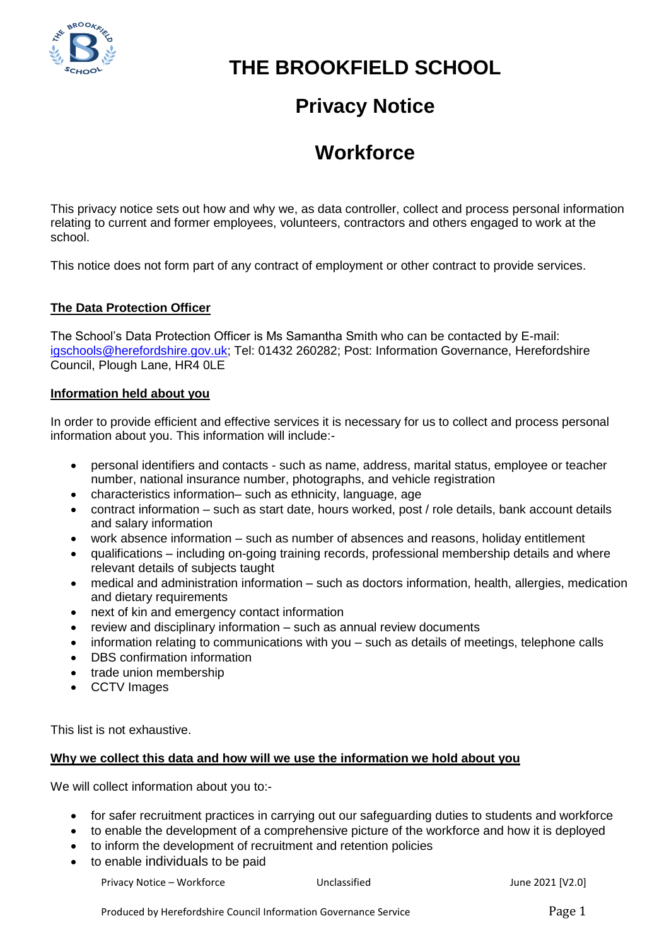

# **THE BROOKFIELD SCHOOL**

## **Privacy Notice**

# **Workforce**

This privacy notice sets out how and why we, as data controller, collect and process personal information relating to current and former employees, volunteers, contractors and others engaged to work at the school.

This notice does not form part of any contract of employment or other contract to provide services.

### **The Data Protection Officer**

The School's Data Protection Officer is Ms Samantha Smith who can be contacted by E-mail: [igschools@herefordshire.gov.uk;](mailto:igschools@herefordshire.gov.uk) Tel: 01432 260282; Post: Information Governance, Herefordshire Council, Plough Lane, HR4 0LE

### **Information held about you**

In order to provide efficient and effective services it is necessary for us to collect and process personal information about you. This information will include:-

- personal identifiers and contacts such as name, address, marital status, employee or teacher number, national insurance number, photographs, and vehicle registration
- characteristics information– such as ethnicity, language, age
- contract information such as start date, hours worked, post / role details, bank account details and salary information
- work absence information such as number of absences and reasons, holiday entitlement
- qualifications including on-going training records, professional membership details and where relevant details of subjects taught
- medical and administration information such as doctors information, health, allergies, medication and dietary requirements
- next of kin and emergency contact information
- review and disciplinary information such as annual review documents
- information relating to communications with you such as details of meetings, telephone calls
- DBS confirmation information
- trade union membership
- CCTV Images

This list is not exhaustive.

#### **Why we collect this data and how will we use the information we hold about you**

We will collect information about you to:-

- for safer recruitment practices in carrying out our safeguarding duties to students and workforce
- to enable the development of a comprehensive picture of the workforce and how it is deployed
- to inform the development of recruitment and retention policies
- to enable individuals to be paid

Privacy Notice – Workforce **Van Election Control Control** Unclassified Mateur 2021 [V2.0]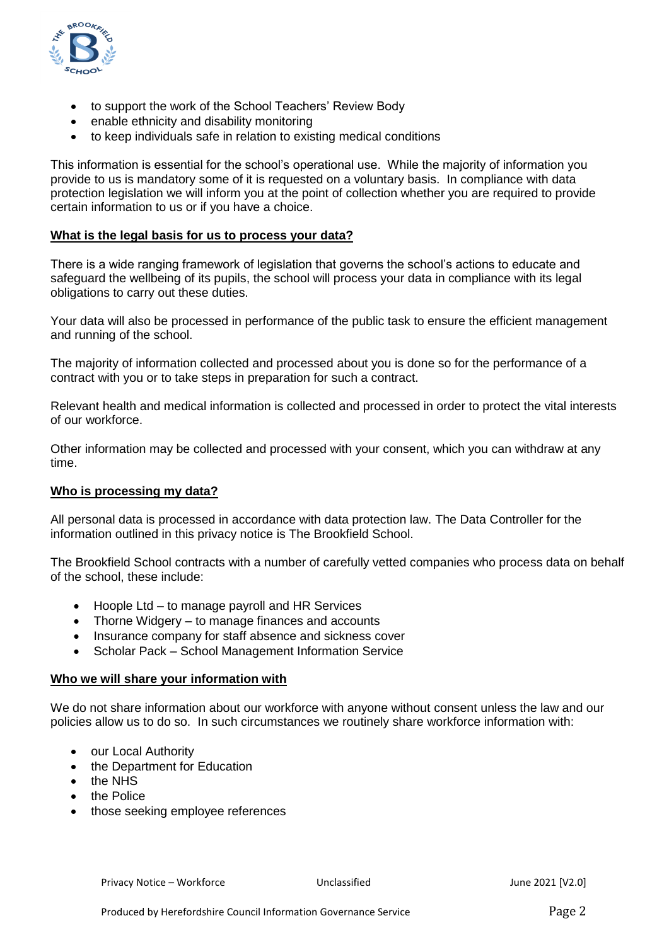

- to support the work of the School Teachers' Review Body
- enable ethnicity and disability monitoring
- to keep individuals safe in relation to existing medical conditions

This information is essential for the school's operational use. While the majority of information you provide to us is mandatory some of it is requested on a voluntary basis. In compliance with data protection legislation we will inform you at the point of collection whether you are required to provide certain information to us or if you have a choice.

#### **What is the legal basis for us to process your data?**

There is a wide ranging framework of legislation that governs the school's actions to educate and safeguard the wellbeing of its pupils, the school will process your data in compliance with its legal obligations to carry out these duties.

Your data will also be processed in performance of the public task to ensure the efficient management and running of the school.

The majority of information collected and processed about you is done so for the performance of a contract with you or to take steps in preparation for such a contract.

Relevant health and medical information is collected and processed in order to protect the vital interests of our workforce.

Other information may be collected and processed with your consent, which you can withdraw at any time.

#### **Who is processing my data?**

All personal data is processed in accordance with data protection law. The Data Controller for the information outlined in this privacy notice is The Brookfield School.

The Brookfield School contracts with a number of carefully vetted companies who process data on behalf of the school, these include:

- $\bullet$  Hoople Ltd to manage payroll and HR Services
- Thorne Widgery to manage finances and accounts
- Insurance company for staff absence and sickness cover
- Scholar Pack School Management Information Service

#### **Who we will share your information with**

We do not share information about our workforce with anyone without consent unless the law and our policies allow us to do so. In such circumstances we routinely share workforce information with:

- our Local Authority
- the Department for Education
- the NHS
- the Police
- those seeking employee references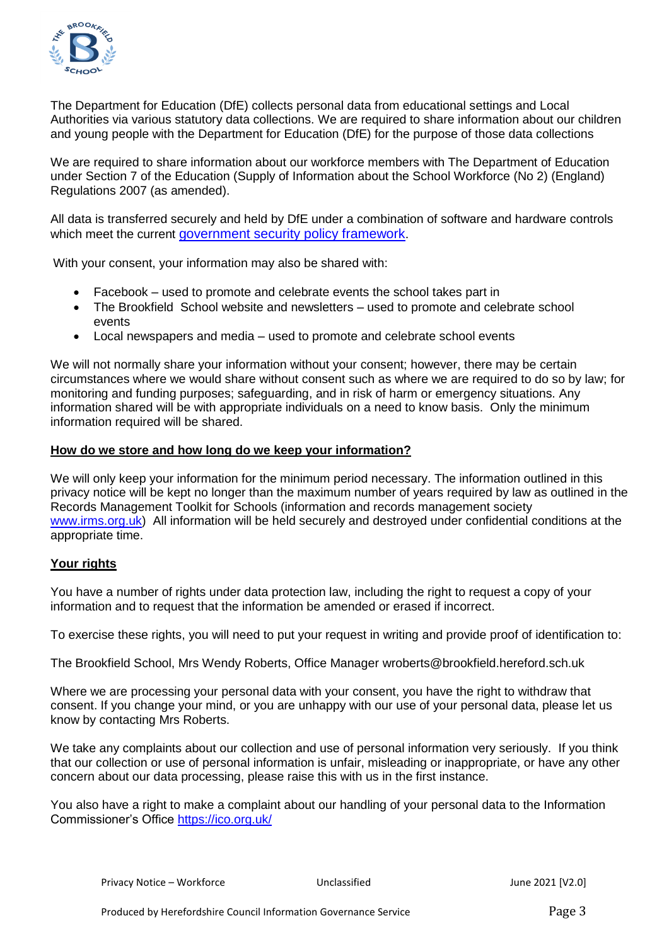

The Department for Education (DfE) collects personal data from educational settings and Local Authorities via various statutory data collections. We are required to share information about our children and young people with the Department for Education (DfE) for the purpose of those data collections

We are required to share information about our workforce members with The Department of Education under Section 7 of the Education (Supply of Information about the School Workforce (No 2) (England) Regulations 2007 (as amended).

All data is transferred securely and held by DfE under a combination of software and hardware controls which meet the current [government security policy framework](https://www.gov.uk/government/publications/security-policy-framework).

With your consent, your information may also be shared with:

- Facebook used to promote and celebrate events the school takes part in
- The Brookfield School website and newsletters used to promote and celebrate school events
- Local newspapers and media used to promote and celebrate school events

We will not normally share your information without your consent; however, there may be certain circumstances where we would share without consent such as where we are required to do so by law; for monitoring and funding purposes; safeguarding, and in risk of harm or emergency situations. Any information shared will be with appropriate individuals on a need to know basis. Only the minimum information required will be shared.

#### **How do we store and how long do we keep your information?**

We will only keep your information for the minimum period necessary. The information outlined in this privacy notice will be kept no longer than the maximum number of years required by law as outlined in the Records Management Toolkit for Schools (information and records management society [www.irms.org.uk\)](http://www.irms.org.uk/) All information will be held securely and destroyed under confidential conditions at the appropriate time.

#### **Your rights**

You have a number of rights under data protection law, including the right to request a copy of your information and to request that the information be amended or erased if incorrect.

To exercise these rights, you will need to put your request in writing and provide proof of identification to:

The Brookfield School, Mrs Wendy Roberts, Office Manager wroberts@brookfield.hereford.sch.uk

Where we are processing your personal data with your consent, you have the right to withdraw that consent. If you change your mind, or you are unhappy with our use of your personal data, please let us know by contacting Mrs Roberts.

We take any complaints about our collection and use of personal information very seriously. If you think that our collection or use of personal information is unfair, misleading or inappropriate, or have any other concern about our data processing, please raise this with us in the first instance.

You also have a right to make a complaint about our handling of your personal data to the Information Commissioner's Office<https://ico.org.uk/>